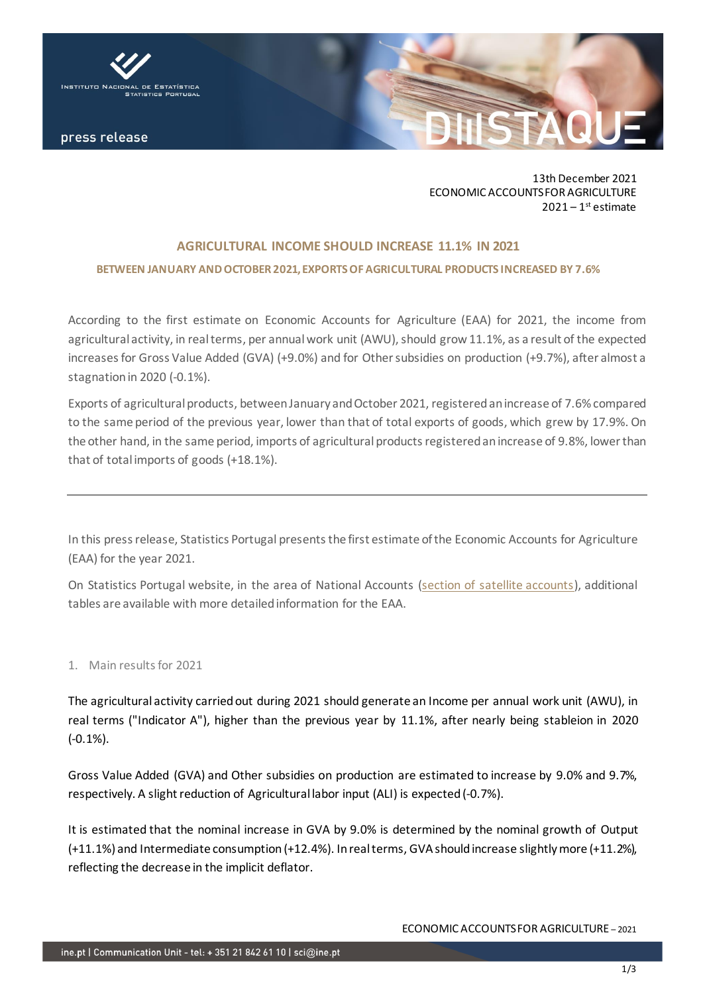

13th December 2021 ECONOMIC ACCOUNTS FOR AGRICULTURE  $2021 - 1$ <sup>st</sup> estimate

# **AGRICULTURAL INCOME SHOULD INCREASE 11.1% IN 2021 BETWEEN JANUARY AND OCTOBER 2021, EXPORTS OF AGRICULTURAL PRODUCTS INCREASED BY 7.6%**

According to the first estimate on Economic Accounts for Agriculture (EAA) for 2021, the income from agricultural activity, in real terms, per annual work unit (AWU), should grow 11.1%, as a result of the expected increases for Gross Value Added (GVA) (+9.0%) and for Other subsidies on production (+9.7%), after almost a stagnation in 2020 (-0.1%).

Exports of agricultural products, between January and October 2021, registered an increase of 7.6% compared to the same period of the previous year, lower than that of total exports of goods, which grew by 17.9%. On the other hand, in the same period, imports of agricultural products registered an increase of 9.8%, lower than that of total imports of goods (+18.1%).

In this press release, Statistics Portugal presentsthe first estimate of the Economic Accounts for Agriculture (EAA) for the year 2021.

On Statistics Portugal website, in the area of National Accounts [\(section of satellite accounts\)](https://ine.pt/xportal/xmain?xpid=INE&xpgid=ine_cnacionais2010b2016&contexto=cs&selTab=tab3&perfil=392023991&INST=391970297), additional tables are available with more detailed information for the EAA.

## 1. Main results for 2021

The agricultural activity carried out during 2021 should generate an Income per annual work unit (AWU), in real terms ("Indicator A"), higher than the previous year by 11.1%, after nearly being stableion in 2020 (-0.1%).

Gross Value Added (GVA) and Other subsidies on production are estimated to increase by 9.0% and 9.7%, respectively. A slight reduction of Agricultural labor input (ALI) is expected(-0.7%).

It is estimated that the nominal increase in GVA by 9.0% is determined by the nominal growth of Output (+11.1%) and Intermediate consumption (+12.4%). In real terms, GVA should increase slightlymore (+11.2%), reflecting the decrease in the implicit deflator.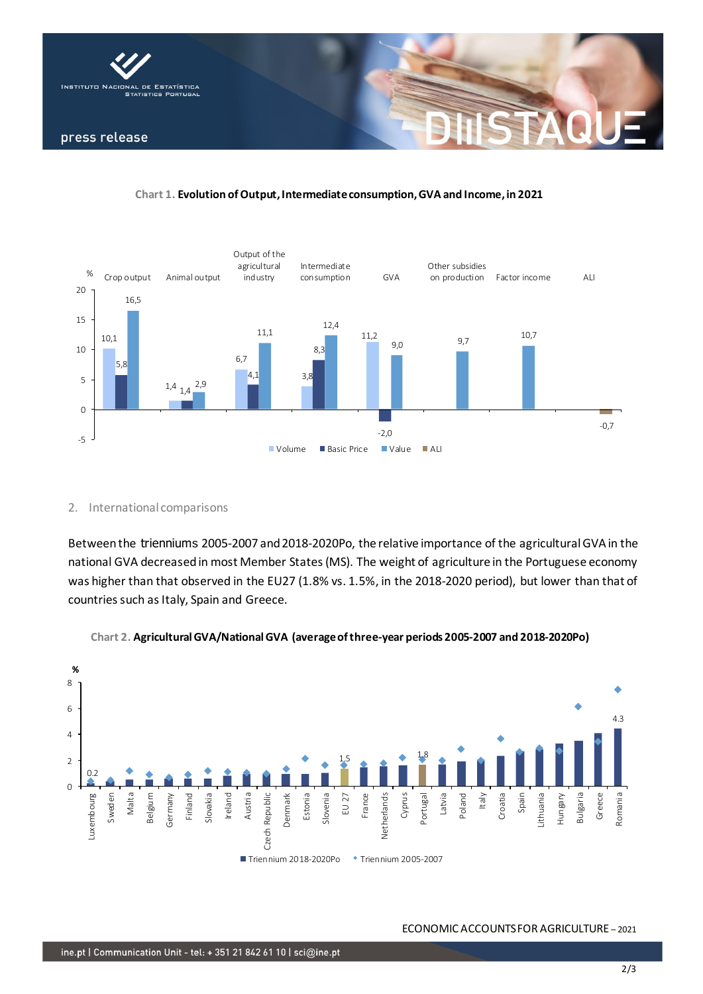

#### **Chart 1. Evolution of Output, Intermediate consumption, GVA and Income, in 2021**



#### 2. International comparisons

Betweenthe trienniums 2005-2007 and 2018-2020Po, the relative importance of the agricultural GVA in the national GVA decreased in most Member States (MS). The weight of agriculture in the Portuguese economy was higher than that observed in the EU27 (1.8% vs. 1.5%, in the 2018-2020 period), but lower than that of countries such as Italy, Spain and Greece.



#### **Chart 2. Agricultural GVA/National GVA (average of three-year periods 2005-2007 and 2018-2020Po)**

#### ECONOMIC ACCOUNTS FOR AGRICULTURE – 2021